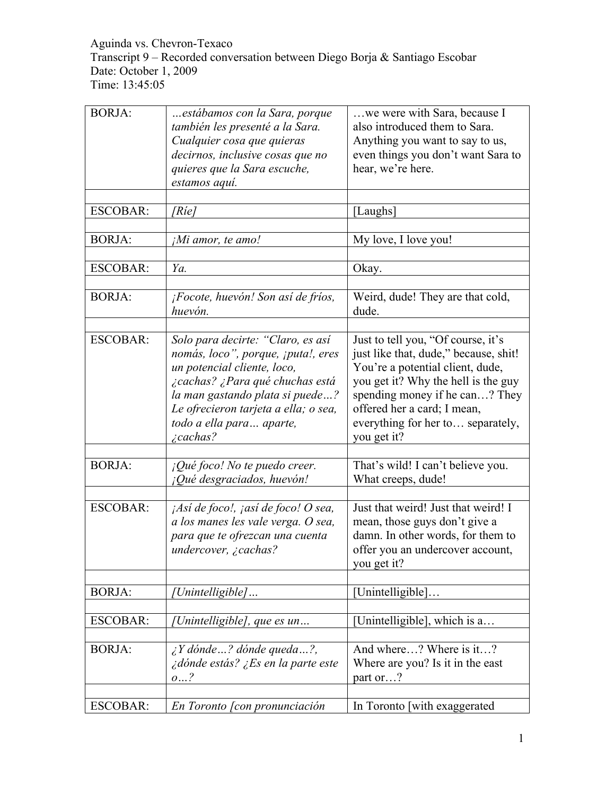Aguinda vs. Chevron-Texaco Transcript 9 – Recorded conversation between Diego Borja & Santiago Escobar Date: October 1, 2009 Time: 13:45:05

| <b>BORJA:</b>   | estábamos con la Sara, porque<br>también les presenté a la Sara.<br>Cualquier cosa que quieras<br>decirnos, inclusive cosas que no<br>quieres que la Sara escuche,<br>estamos aquí.                                                                                  | we were with Sara, because I<br>also introduced them to Sara.<br>Anything you want to say to us,<br>even things you don't want Sara to<br>hear, we're here.                                                                                                                 |
|-----------------|----------------------------------------------------------------------------------------------------------------------------------------------------------------------------------------------------------------------------------------------------------------------|-----------------------------------------------------------------------------------------------------------------------------------------------------------------------------------------------------------------------------------------------------------------------------|
| <b>ESCOBAR:</b> | [Ríe]                                                                                                                                                                                                                                                                | [Laughs]                                                                                                                                                                                                                                                                    |
| <b>BORJA:</b>   | ¡Mi amor, te amo!                                                                                                                                                                                                                                                    | My love, I love you!                                                                                                                                                                                                                                                        |
| <b>ESCOBAR:</b> | Ya.                                                                                                                                                                                                                                                                  | Okay.                                                                                                                                                                                                                                                                       |
| <b>BORJA:</b>   | ¡Focote, huevón! Son así de fríos,<br>huevón.                                                                                                                                                                                                                        | Weird, dude! They are that cold,<br>dude.                                                                                                                                                                                                                                   |
| <b>ESCOBAR:</b> | Solo para decirte: "Claro, es así<br>nomás, loco", porque, ¡puta!, eres<br>un potencial cliente, loco,<br>¿cachas? ¿Para qué chuchas está<br>la man gastando plata si puede?<br>Le ofrecieron tarjeta a ella; o sea,<br>todo a ella para aparte,<br><i>i</i> cachas? | Just to tell you, "Of course, it's<br>just like that, dude," because, shit!<br>You're a potential client, dude,<br>you get it? Why the hell is the guy<br>spending money if he can? They<br>offered her a card; I mean,<br>everything for her to separately,<br>you get it? |
| <b>BORJA:</b>   | $i$ Qué foco! No te puedo creer.<br>¡Qué desgraciados, huevón!                                                                                                                                                                                                       | That's wild! I can't believe you.<br>What creeps, dude!                                                                                                                                                                                                                     |
| <b>ESCOBAR:</b> | <i>Así de foco!, ¡así de foco! O sea,</i><br>a los manes les vale verga. O sea,<br>para que te ofrezcan una cuenta<br>undercover, ¿cachas?                                                                                                                           | Just that weird! Just that weird! I<br>mean, those guys don't give a<br>damn. In other words, for them to<br>offer you an undercover account,<br>you get it?                                                                                                                |
| <b>BORJA:</b>   | [Unintelligible]                                                                                                                                                                                                                                                     | [Unintelligible]                                                                                                                                                                                                                                                            |
| <b>ESCOBAR:</b> | [Unintelligible], que es un                                                                                                                                                                                                                                          | [Unintelligible], which is a                                                                                                                                                                                                                                                |
| <b>BORJA:</b>   | $\lambda$ Y dónde ? dónde queda ?,<br>¿dónde estás? ¿Es en la parte este<br>o?                                                                                                                                                                                       | And where? Where is it?<br>Where are you? Is it in the east<br>part or?                                                                                                                                                                                                     |
| <b>ESCOBAR:</b> | En Toronto [con pronunciación                                                                                                                                                                                                                                        | In Toronto [with exaggerated]                                                                                                                                                                                                                                               |